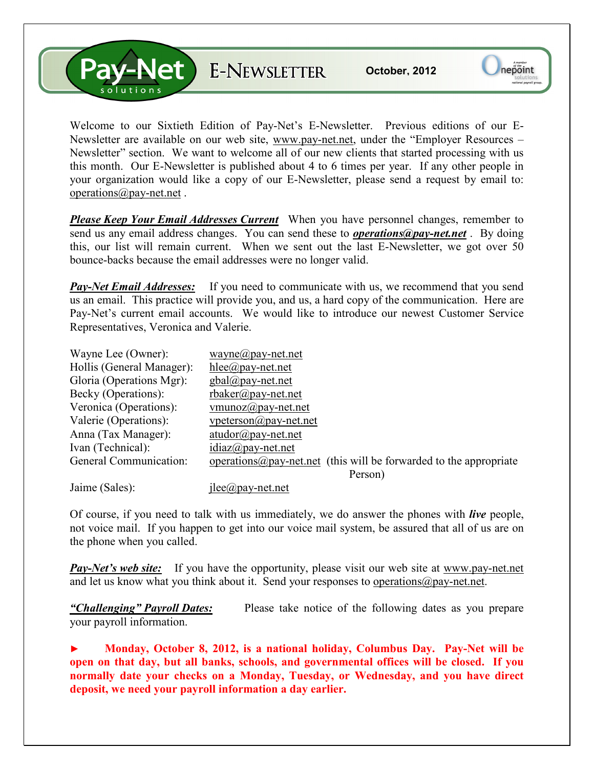V-Net E-NEWSLETTER

Welcome to our Sixtieth Edition of Pay-Net's E-Newsletter. Previous editions of our E-Newsletter are available on our web site, www.pay-net.net, under the "Employer Resources – Newsletter" section. We want to welcome all of our new clients that started processing with us this month. Our E-Newsletter is published about 4 to 6 times per year. If any other people in your organization would like a copy of our E-Newsletter, please send a request by email to: operations@pay-net.net .

*Please Keep Your Email Addresses Current* When you have personnel changes, remember to send us any email address changes. You can send these to *operations@pay-net.net* . By doing this, our list will remain current. When we sent out the last E-Newsletter, we got over 50 bounce-backs because the email addresses were no longer valid.

*Pay-Net Email Addresses:* If you need to communicate with us, we recommend that you send us an email. This practice will provide you, and us, a hard copy of the communication. Here are Pay-Net's current email accounts. We would like to introduce our newest Customer Service Representatives, Veronica and Valerie.

| Wayne Lee (Owner):        | wayne@pay-net.net                                                          |
|---------------------------|----------------------------------------------------------------------------|
| Hollis (General Manager): | $hlee(\partial p$ ay-net.net                                               |
| Gloria (Operations Mgr):  | $gbal(\partial p$ ay-net.net                                               |
| Becky (Operations):       | rbaker@pay-net.net                                                         |
| Veronica (Operations):    | vmunoz $\omega$ pay-net.net                                                |
| Valerie (Operations):     | $v$ peterson $\omega$ pay-net.net                                          |
| Anna (Tax Manager):       | $atudor@pay-net.net$                                                       |
| Ivan (Technical):         | $idiaz(\partial p$ ay-net.net                                              |
| General Communication:    | operations $\omega$ pay-net net (this will be forwarded to the appropriate |
|                           | Person)                                                                    |
| Jaime (Sales):            | $i$ lee $\omega$ pay-net.net                                               |

Of course, if you need to talk with us immediately, we do answer the phones with *live* people, not voice mail. If you happen to get into our voice mail system, be assured that all of us are on the phone when you called.

**Pay-Net's web site:** If you have the opportunity, please visit our web site at www.pay-net.net and let us know what you think about it. Send your responses to operations  $\omega$  pay-net.net.

*"Challenging" Payroll Dates:* Please take notice of the following dates as you prepare your payroll information.

► **Monday, October 8, 2012, is a national holiday, Columbus Day. Pay-Net will be open on that day, but all banks, schools, and governmental offices will be closed. If you normally date your checks on a Monday, Tuesday, or Wednesday, and you have direct deposit, we need your payroll information a day earlier.**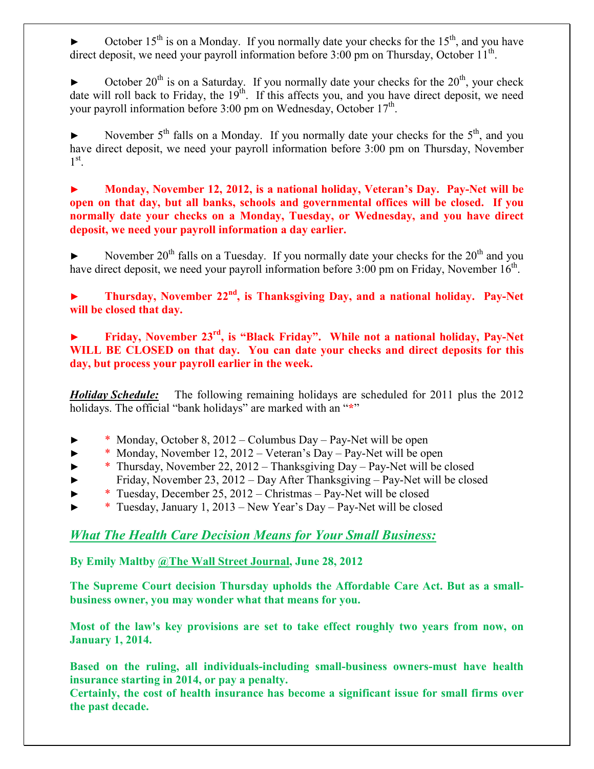October  $15<sup>th</sup>$  is on a Monday. If you normally date your checks for the  $15<sup>th</sup>$ , and you have direct deposit, we need your payroll information before  $3:00$  pm on Thursday, October  $11<sup>th</sup>$ .

October  $20^{th}$  is on a Saturday. If you normally date your checks for the  $20^{th}$ , your check date will roll back to Friday, the  $19<sup>th</sup>$ . If this affects you, and you have direct deposit, we need your payroll information before  $3:00$  pm on Wednesday, October  $17<sup>th</sup>$ .

November  $5<sup>th</sup>$  falls on a Monday. If you normally date your checks for the  $5<sup>th</sup>$ , and you have direct deposit, we need your payroll information before 3:00 pm on Thursday, November  $1^\text{st}$ .

**► Monday, November 12, 2012, is a national holiday, Veteran's Day. Pay-Net will be open on that day, but all banks, schools and governmental offices will be closed. If you normally date your checks on a Monday, Tuesday, or Wednesday, and you have direct deposit, we need your payroll information a day earlier.** 

November  $20^{th}$  falls on a Tuesday. If you normally date your checks for the  $20^{th}$  and you have direct deposit, we need your payroll information before  $3:00$  pm on Friday, November  $16<sup>th</sup>$ .

**► Thursday, November 22nd, is Thanksgiving Day, and a national holiday. Pay-Net will be closed that day.** 

**► Friday, November 23rd, is "Black Friday". While not a national holiday, Pay-Net WILL BE CLOSED on that day. You can date your checks and direct deposits for this day, but process your payroll earlier in the week.** 

*Holiday Schedule:* The following remaining holidays are scheduled for 2011 plus the 2012 holidays. The official "bank holidays" are marked with an "**\***"

- ► \* Monday, October 8, 2012 Columbus Day Pay-Net will be open
- \* Monday, November 12, 2012 Veteran's Day Pay-Net will be open
- ► \* Thursday, November 22, 2012 Thanksgiving Day Pay-Net will be closed
- ► Friday, November 23, 2012 Day After Thanksgiving Pay-Net will be closed
- \* Tuesday, December 25,  $2012 -$ Christmas Pay-Net will be closed
- \* Tuesday, January 1, 2013 New Year's Day Pay-Net will be closed

## *What The Health Care Decision Means for Your Small Business:*

**By Emily Maltby @The Wall Street Journal, June 28, 2012** 

**The Supreme Court decision Thursday upholds the Affordable Care Act. But as a smallbusiness owner, you may wonder what that means for you.** 

**Most of the law's key provisions are set to take effect roughly two years from now, on January 1, 2014.** 

**Based on the ruling, all individuals-including small-business owners-must have health insurance starting in 2014, or pay a penalty.** 

**Certainly, the cost of health insurance has become a significant issue for small firms over the past decade.**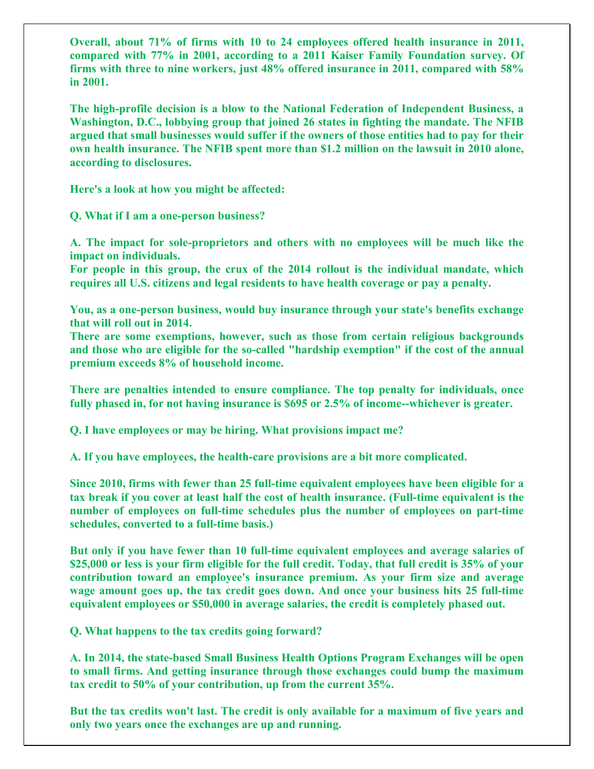**Overall, about 71% of firms with 10 to 24 employees offered health insurance in 2011, compared with 77% in 2001, according to a 2011 Kaiser Family Foundation survey. Of firms with three to nine workers, just 48% offered insurance in 2011, compared with 58% in 2001.** 

**The high-profile decision is a blow to the National Federation of Independent Business, a Washington, D.C., lobbying group that joined 26 states in fighting the mandate. The NFIB argued that small businesses would suffer if the owners of those entities had to pay for their own health insurance. The NFIB spent more than \$1.2 million on the lawsuit in 2010 alone, according to disclosures.** 

**Here's a look at how you might be affected:** 

**Q. What if I am a one-person business?** 

**A. The impact for sole-proprietors and others with no employees will be much like the impact on individuals.** 

**For people in this group, the crux of the 2014 rollout is the individual mandate, which requires all U.S. citizens and legal residents to have health coverage or pay a penalty.** 

**You, as a one-person business, would buy insurance through your state's benefits exchange that will roll out in 2014.** 

**There are some exemptions, however, such as those from certain religious backgrounds and those who are eligible for the so-called "hardship exemption" if the cost of the annual premium exceeds 8% of household income.** 

**There are penalties intended to ensure compliance. The top penalty for individuals, once fully phased in, for not having insurance is \$695 or 2.5% of income--whichever is greater.** 

**Q. I have employees or may be hiring. What provisions impact me?** 

**A. If you have employees, the health-care provisions are a bit more complicated.** 

**Since 2010, firms with fewer than 25 full-time equivalent employees have been eligible for a tax break if you cover at least half the cost of health insurance. (Full-time equivalent is the number of employees on full-time schedules plus the number of employees on part-time schedules, converted to a full-time basis.)** 

**But only if you have fewer than 10 full-time equivalent employees and average salaries of \$25,000 or less is your firm eligible for the full credit. Today, that full credit is 35% of your contribution toward an employee's insurance premium. As your firm size and average wage amount goes up, the tax credit goes down. And once your business hits 25 full-time equivalent employees or \$50,000 in average salaries, the credit is completely phased out.** 

**Q. What happens to the tax credits going forward?** 

**A. In 2014, the state-based Small Business Health Options Program Exchanges will be open to small firms. And getting insurance through those exchanges could bump the maximum tax credit to 50% of your contribution, up from the current 35%.** 

**But the tax credits won't last. The credit is only available for a maximum of five years and only two years once the exchanges are up and running.**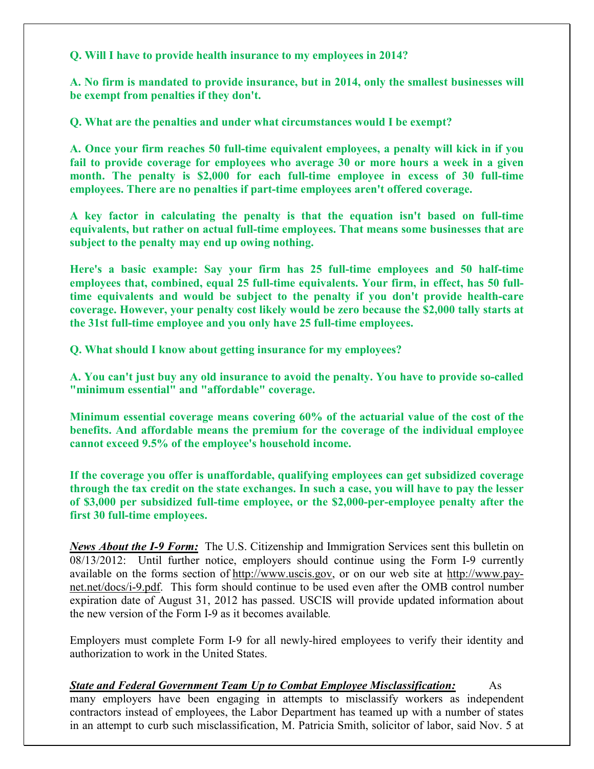**Q. Will I have to provide health insurance to my employees in 2014?** 

**A. No firm is mandated to provide insurance, but in 2014, only the smallest businesses will be exempt from penalties if they don't.** 

**Q. What are the penalties and under what circumstances would I be exempt?** 

**A. Once your firm reaches 50 full-time equivalent employees, a penalty will kick in if you fail to provide coverage for employees who average 30 or more hours a week in a given month. The penalty is \$2,000 for each full-time employee in excess of 30 full-time employees. There are no penalties if part-time employees aren't offered coverage.** 

**A key factor in calculating the penalty is that the equation isn't based on full-time equivalents, but rather on actual full-time employees. That means some businesses that are subject to the penalty may end up owing nothing.** 

**Here's a basic example: Say your firm has 25 full-time employees and 50 half-time employees that, combined, equal 25 full-time equivalents. Your firm, in effect, has 50 fulltime equivalents and would be subject to the penalty if you don't provide health-care coverage. However, your penalty cost likely would be zero because the \$2,000 tally starts at the 31st full-time employee and you only have 25 full-time employees.** 

**Q. What should I know about getting insurance for my employees?** 

**A. You can't just buy any old insurance to avoid the penalty. You have to provide so-called "minimum essential" and "affordable" coverage.** 

**Minimum essential coverage means covering 60% of the actuarial value of the cost of the benefits. And affordable means the premium for the coverage of the individual employee cannot exceed 9.5% of the employee's household income.** 

**If the coverage you offer is unaffordable, qualifying employees can get subsidized coverage through the tax credit on the state exchanges. In such a case, you will have to pay the lesser of \$3,000 per subsidized full-time employee, or the \$2,000-per-employee penalty after the first 30 full-time employees.** 

*News About the I-9 Form:* The U.S. Citizenship and Immigration Services sent this bulletin on 08/13/2012: Until further notice, employers should continue using the Form I-9 currently available on the forms section of http://www.uscis.gov, or on our web site at http://www.paynet.net/docs/i-9.pdf. This form should continue to be used even after the OMB control number expiration date of August 31, 2012 has passed. USCIS will provide updated information about the new version of the Form I-9 as it becomes available*.*

Employers must complete Form I-9 for all newly-hired employees to verify their identity and authorization to work in the United States.

*State and Federal Government Team Up to Combat Employee Misclassification:* As many employers have been engaging in attempts to misclassify workers as independent contractors instead of employees, the Labor Department has teamed up with a number of states in an attempt to curb such misclassification, M. Patricia Smith, solicitor of labor, said Nov. 5 at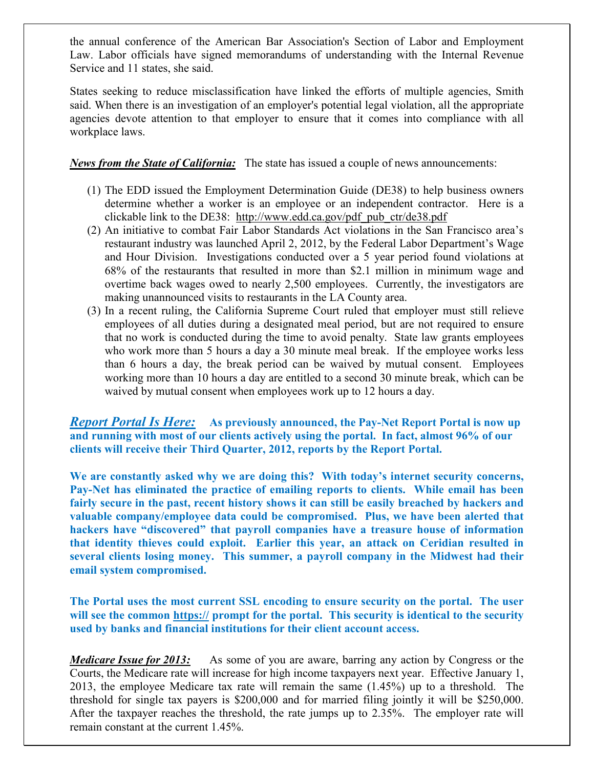the annual conference of the American Bar Association's Section of Labor and Employment Law. Labor officials have signed memorandums of understanding with the Internal Revenue Service and 11 states, she said.

States seeking to reduce misclassification have linked the efforts of multiple agencies, Smith said. When there is an investigation of an employer's potential legal violation, all the appropriate agencies devote attention to that employer to ensure that it comes into compliance with all workplace laws.

## *News from the State of California:* The state has issued a couple of news announcements:

- (1) The EDD issued the Employment Determination Guide (DE38) to help business owners determine whether a worker is an employee or an independent contractor. Here is a clickable link to the DE38: http://www.edd.ca.gov/pdf\_pub\_ctr/de38.pdf
- (2) An initiative to combat Fair Labor Standards Act violations in the San Francisco area's restaurant industry was launched April 2, 2012, by the Federal Labor Department's Wage and Hour Division. Investigations conducted over a 5 year period found violations at 68% of the restaurants that resulted in more than \$2.1 million in minimum wage and overtime back wages owed to nearly 2,500 employees. Currently, the investigators are making unannounced visits to restaurants in the LA County area.
- (3) In a recent ruling, the California Supreme Court ruled that employer must still relieve employees of all duties during a designated meal period, but are not required to ensure that no work is conducted during the time to avoid penalty. State law grants employees who work more than 5 hours a day a 30 minute meal break. If the employee works less than 6 hours a day, the break period can be waived by mutual consent. Employees working more than 10 hours a day are entitled to a second 30 minute break, which can be waived by mutual consent when employees work up to 12 hours a day.

*Report Portal Is Here:* **As previously announced, the Pay-Net Report Portal is now up and running with most of our clients actively using the portal. In fact, almost 96% of our clients will receive their Third Quarter, 2012, reports by the Report Portal.** 

**We are constantly asked why we are doing this? With today's internet security concerns, Pay-Net has eliminated the practice of emailing reports to clients. While email has been fairly secure in the past, recent history shows it can still be easily breached by hackers and valuable company/employee data could be compromised. Plus, we have been alerted that hackers have "discovered" that payroll companies have a treasure house of information that identity thieves could exploit. Earlier this year, an attack on Ceridian resulted in several clients losing money. This summer, a payroll company in the Midwest had their email system compromised.** 

**The Portal uses the most current SSL encoding to ensure security on the portal. The user**  will see the common https:// prompt for the portal. This security is identical to the security **used by banks and financial institutions for their client account access.** 

*Medicare Issue for 2013:* As some of you are aware, barring any action by Congress or the Courts, the Medicare rate will increase for high income taxpayers next year. Effective January 1, 2013, the employee Medicare tax rate will remain the same (1.45%) up to a threshold. The threshold for single tax payers is \$200,000 and for married filing jointly it will be \$250,000. After the taxpayer reaches the threshold, the rate jumps up to 2.35%. The employer rate will remain constant at the current 1.45%.